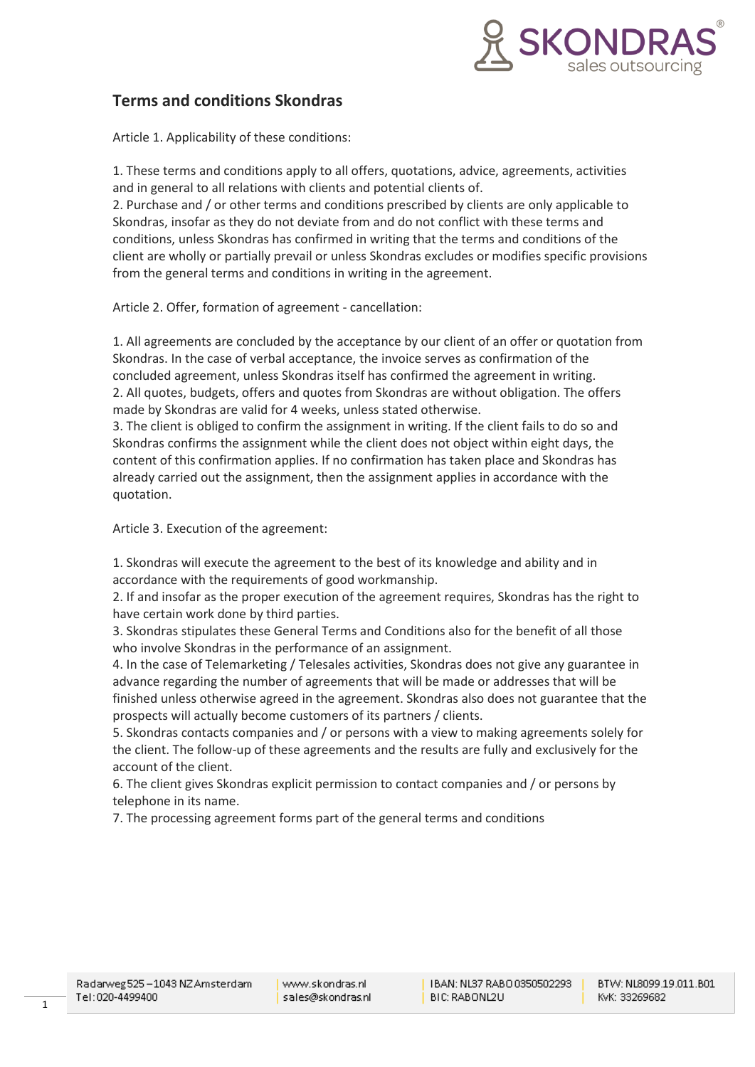

# **Terms and conditions Skondras**

Article 1. Applicability of these conditions:

1. These terms and conditions apply to all offers, quotations, advice, agreements, activities and in general to all relations with clients and potential clients of.

2. Purchase and / or other terms and conditions prescribed by clients are only applicable to Skondras, insofar as they do not deviate from and do not conflict with these terms and conditions, unless Skondras has confirmed in writing that the terms and conditions of the client are wholly or partially prevail or unless Skondras excludes or modifies specific provisions from the general terms and conditions in writing in the agreement.

Article 2. Offer, formation of agreement - cancellation:

1. All agreements are concluded by the acceptance by our client of an offer or quotation from Skondras. In the case of verbal acceptance, the invoice serves as confirmation of the concluded agreement, unless Skondras itself has confirmed the agreement in writing. 2. All quotes, budgets, offers and quotes from Skondras are without obligation. The offers made by Skondras are valid for 4 weeks, unless stated otherwise.

3. The client is obliged to confirm the assignment in writing. If the client fails to do so and Skondras confirms the assignment while the client does not object within eight days, the content of this confirmation applies. If no confirmation has taken place and Skondras has already carried out the assignment, then the assignment applies in accordance with the quotation.

Article 3. Execution of the agreement:

1. Skondras will execute the agreement to the best of its knowledge and ability and in accordance with the requirements of good workmanship.

2. If and insofar as the proper execution of the agreement requires, Skondras has the right to have certain work done by third parties.

3. Skondras stipulates these General Terms and Conditions also for the benefit of all those who involve Skondras in the performance of an assignment.

4. In the case of Telemarketing / Telesales activities, Skondras does not give any guarantee in advance regarding the number of agreements that will be made or addresses that will be finished unless otherwise agreed in the agreement. Skondras also does not guarantee that the prospects will actually become customers of its partners / clients.

5. Skondras contacts companies and / or persons with a view to making agreements solely for the client. The follow-up of these agreements and the results are fully and exclusively for the account of the client.

6. The client gives Skondras explicit permission to contact companies and / or persons by telephone in its name.

7. The processing agreement forms part of the general terms and conditions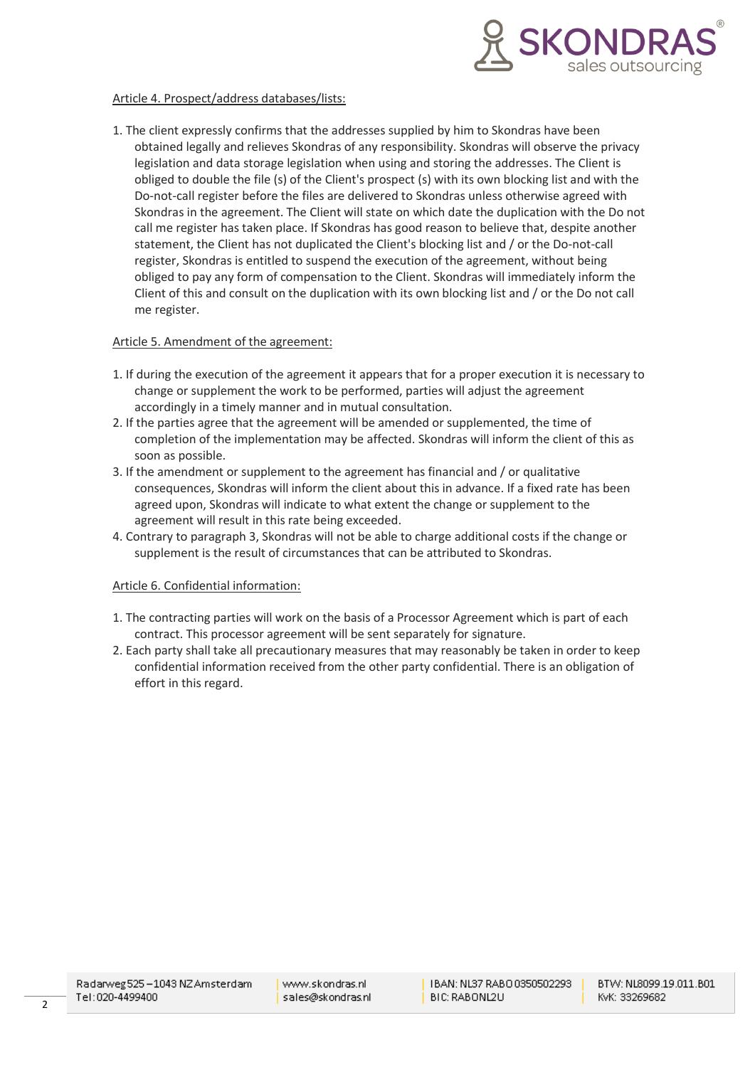

## Article 4. Prospect/address databases/lists:

1. The client expressly confirms that the addresses supplied by him to Skondras have been obtained legally and relieves Skondras of any responsibility. Skondras will observe the privacy legislation and data storage legislation when using and storing the addresses. The Client is obliged to double the file (s) of the Client's prospect (s) with its own blocking list and with the Do-not-call register before the files are delivered to Skondras unless otherwise agreed with Skondras in the agreement. The Client will state on which date the duplication with the Do not call me register has taken place. If Skondras has good reason to believe that, despite another statement, the Client has not duplicated the Client's blocking list and / or the Do-not-call register, Skondras is entitled to suspend the execution of the agreement, without being obliged to pay any form of compensation to the Client. Skondras will immediately inform the Client of this and consult on the duplication with its own blocking list and / or the Do not call me register.

## Article 5. Amendment of the agreement:

- 1. If during the execution of the agreement it appears that for a proper execution it is necessary to change or supplement the work to be performed, parties will adjust the agreement accordingly in a timely manner and in mutual consultation.
- 2. If the parties agree that the agreement will be amended or supplemented, the time of completion of the implementation may be affected. Skondras will inform the client of this as soon as possible.
- 3. If the amendment or supplement to the agreement has financial and / or qualitative consequences, Skondras will inform the client about this in advance. If a fixed rate has been agreed upon, Skondras will indicate to what extent the change or supplement to the agreement will result in this rate being exceeded.
- 4. Contrary to paragraph 3, Skondras will not be able to charge additional costs if the change or supplement is the result of circumstances that can be attributed to Skondras.

#### Article 6. Confidential information:

- 1. The contracting parties will work on the basis of a Processor Agreement which is part of each contract. This processor agreement will be sent separately for signature.
- 2. Each party shall take all precautionary measures that may reasonably be taken in order to keep confidential information received from the other party confidential. There is an obligation of effort in this regard.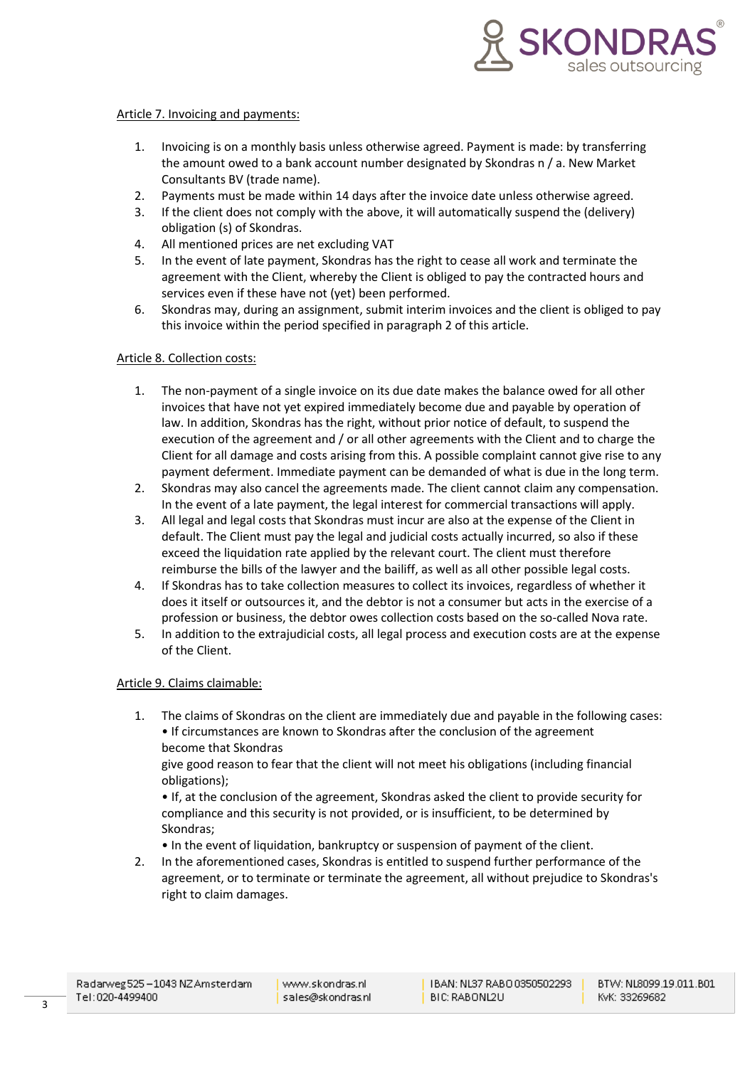

## Article 7. Invoicing and payments:

- 1. Invoicing is on a monthly basis unless otherwise agreed. Payment is made: by transferring the amount owed to a bank account number designated by Skondras n / a. New Market Consultants BV (trade name).
- 2. Payments must be made within 14 days after the invoice date unless otherwise agreed.
- 3. If the client does not comply with the above, it will automatically suspend the (delivery) obligation (s) of Skondras.
- 4. All mentioned prices are net excluding VAT
- 5. In the event of late payment, Skondras has the right to cease all work and terminate the agreement with the Client, whereby the Client is obliged to pay the contracted hours and services even if these have not (yet) been performed.
- 6. Skondras may, during an assignment, submit interim invoices and the client is obliged to pay this invoice within the period specified in paragraph 2 of this article.

## Article 8. Collection costs:

- 1. The non-payment of a single invoice on its due date makes the balance owed for all other invoices that have not yet expired immediately become due and payable by operation of law. In addition, Skondras has the right, without prior notice of default, to suspend the execution of the agreement and / or all other agreements with the Client and to charge the Client for all damage and costs arising from this. A possible complaint cannot give rise to any payment deferment. Immediate payment can be demanded of what is due in the long term.
- 2. Skondras may also cancel the agreements made. The client cannot claim any compensation. In the event of a late payment, the legal interest for commercial transactions will apply.
- 3. All legal and legal costs that Skondras must incur are also at the expense of the Client in default. The Client must pay the legal and judicial costs actually incurred, so also if these exceed the liquidation rate applied by the relevant court. The client must therefore reimburse the bills of the lawyer and the bailiff, as well as all other possible legal costs.
- 4. If Skondras has to take collection measures to collect its invoices, regardless of whether it does it itself or outsources it, and the debtor is not a consumer but acts in the exercise of a profession or business, the debtor owes collection costs based on the so-called Nova rate.
- 5. In addition to the extrajudicial costs, all legal process and execution costs are at the expense of the Client.

#### Article 9. Claims claimable:

1. The claims of Skondras on the client are immediately due and payable in the following cases: • If circumstances are known to Skondras after the conclusion of the agreement become that Skondras

give good reason to fear that the client will not meet his obligations (including financial obligations);

• If, at the conclusion of the agreement, Skondras asked the client to provide security for compliance and this security is not provided, or is insufficient, to be determined by Skondras;

• In the event of liquidation, bankruptcy or suspension of payment of the client.

2. In the aforementioned cases, Skondras is entitled to suspend further performance of the agreement, or to terminate or terminate the agreement, all without prejudice to Skondras's right to claim damages.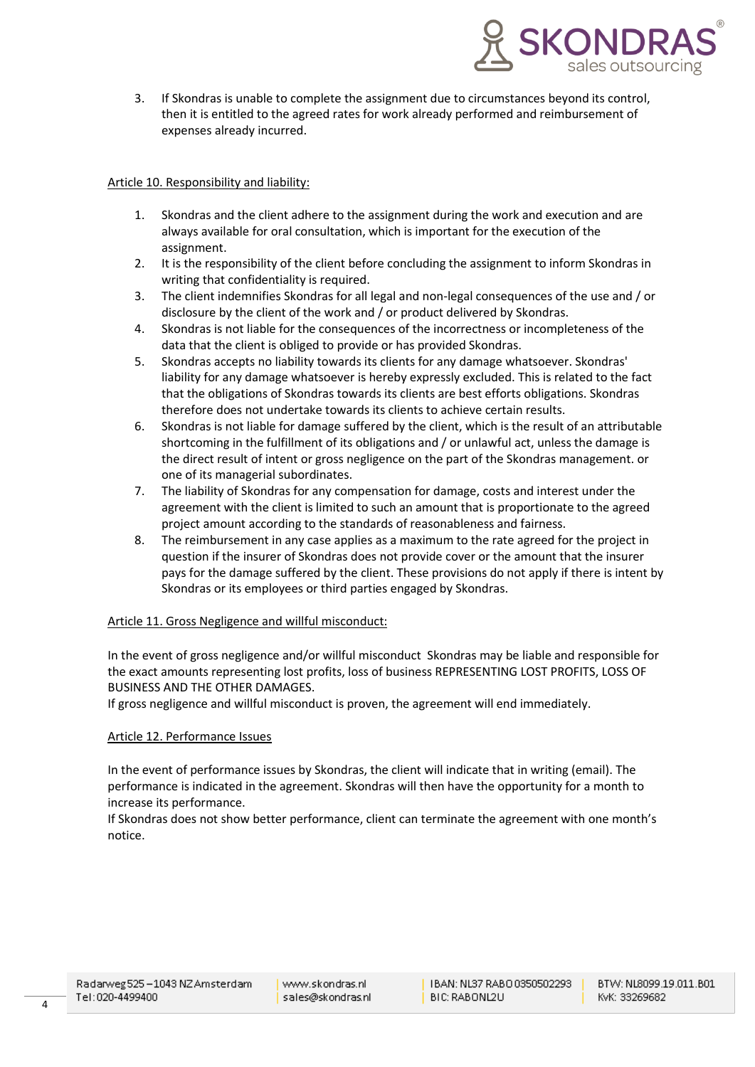

3. If Skondras is unable to complete the assignment due to circumstances beyond its control, then it is entitled to the agreed rates for work already performed and reimbursement of expenses already incurred.

# Article 10. Responsibility and liability:

- 1. Skondras and the client adhere to the assignment during the work and execution and are always available for oral consultation, which is important for the execution of the assignment.
- 2. It is the responsibility of the client before concluding the assignment to inform Skondras in writing that confidentiality is required.
- 3. The client indemnifies Skondras for all legal and non-legal consequences of the use and / or disclosure by the client of the work and / or product delivered by Skondras.
- 4. Skondras is not liable for the consequences of the incorrectness or incompleteness of the data that the client is obliged to provide or has provided Skondras.
- 5. Skondras accepts no liability towards its clients for any damage whatsoever. Skondras' liability for any damage whatsoever is hereby expressly excluded. This is related to the fact that the obligations of Skondras towards its clients are best efforts obligations. Skondras therefore does not undertake towards its clients to achieve certain results.
- 6. Skondras is not liable for damage suffered by the client, which is the result of an attributable shortcoming in the fulfillment of its obligations and / or unlawful act, unless the damage is the direct result of intent or gross negligence on the part of the Skondras management. or one of its managerial subordinates.
- 7. The liability of Skondras for any compensation for damage, costs and interest under the agreement with the client is limited to such an amount that is proportionate to the agreed project amount according to the standards of reasonableness and fairness.
- 8. The reimbursement in any case applies as a maximum to the rate agreed for the project in question if the insurer of Skondras does not provide cover or the amount that the insurer pays for the damage suffered by the client. These provisions do not apply if there is intent by Skondras or its employees or third parties engaged by Skondras.

# Article 11. Gross Negligence and willful misconduct:

In the event of gross negligence and/or willful misconduct Skondras may be liable and responsible for the exact amounts representing lost profits, loss of business REPRESENTING LOST PROFITS, LOSS OF BUSINESS AND THE OTHER DAMAGES.

If gross negligence and willful misconduct is proven, the agreement will end immediately.

#### Article 12. Performance Issues

In the event of performance issues by Skondras, the client will indicate that in writing (email). The performance is indicated in the agreement. Skondras will then have the opportunity for a month to increase its performance.

If Skondras does not show better performance, client can terminate the agreement with one month's notice.